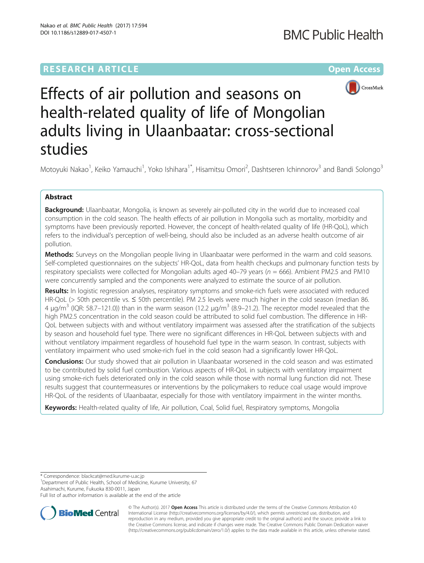## **RESEARCH ARTICLE Example 2014 12:30 The Company Access** (RESEARCH ARTICLE



# Effects of air pollution and seasons on health-related quality of life of Mongolian adults living in Ulaanbaatar: cross-sectional studies

Motoyuki Nakao<sup>1</sup>, Keiko Yamauchi<sup>1</sup>, Yoko Ishihara<sup>1\*</sup>, Hisamitsu Omori<sup>2</sup>, Dashtseren Ichinnorov<sup>3</sup> and Bandi Solongo<sup>3</sup>

## Abstract

Background: Ulaanbaatar, Mongolia, is known as severely air-polluted city in the world due to increased coal consumption in the cold season. The health effects of air pollution in Mongolia such as mortality, morbidity and symptoms have been previously reported. However, the concept of health-related quality of life (HR-QoL), which refers to the individual's perception of well-being, should also be included as an adverse health outcome of air pollution.

**Methods:** Surveys on the Mongolian people living in Ulaanbaatar were performed in the warm and cold seasons. Self-completed questionnaires on the subjects' HR-QoL, data from health checkups and pulmonary function tests by respiratory specialists were collected for Mongolian adults aged 40–79 years ( $n = 666$ ). Ambient PM2.5 and PM10 were concurrently sampled and the components were analyzed to estimate the source of air pollution.

Results: In logistic regression analyses, respiratory symptoms and smoke-rich fuels were associated with reduced HR-QoL (> 50th percentile vs. ≤ 50th percentile). PM 2.5 levels were much higher in the cold season (median 86. 4 μg/m<sup>3</sup> (IQR: 58.7–121.0)) than in the warm season (12.2 μg/m<sup>3</sup> (8.9–21.2). The receptor model revealed that the high PM2.5 concentration in the cold season could be attributed to solid fuel combustion. The difference in HR-QoL between subjects with and without ventilatory impairment was assessed after the stratification of the subjects by season and household fuel type. There were no significant differences in HR-QoL between subjects with and without ventilatory impairment regardless of household fuel type in the warm season. In contrast, subjects with ventilatory impairment who used smoke-rich fuel in the cold season had a significantly lower HR-QoL.

**Conclusions:** Our study showed that air pollution in Ulaanbaatar worsened in the cold season and was estimated to be contributed by solid fuel combustion. Various aspects of HR-QoL in subjects with ventilatory impairment using smoke-rich fuels deteriorated only in the cold season while those with normal lung function did not. These results suggest that countermeasures or interventions by the policymakers to reduce coal usage would improve HR-QoL of the residents of Ulaanbaatar, especially for those with ventilatory impairment in the winter months.

Keywords: Health-related quality of life, Air pollution, Coal, Solid fuel, Respiratory symptoms, Mongolia

\* Correspondence: [blackcat@med.kurume-u.ac.jp](mailto:blackcat@med.kurume-u.ac.jp) <sup>1</sup>

<sup>1</sup>Department of Public Health, School of Medicine, Kurume University, 67 Asahimachi, Kurume, Fukuoka 830-0011, Japan

Full list of author information is available at the end of the article



© The Author(s). 2017 **Open Access** This article is distributed under the terms of the Creative Commons Attribution 4.0 International License [\(http://creativecommons.org/licenses/by/4.0/](http://creativecommons.org/licenses/by/4.0/)), which permits unrestricted use, distribution, and reproduction in any medium, provided you give appropriate credit to the original author(s) and the source, provide a link to the Creative Commons license, and indicate if changes were made. The Creative Commons Public Domain Dedication waiver [\(http://creativecommons.org/publicdomain/zero/1.0/](http://creativecommons.org/publicdomain/zero/1.0/)) applies to the data made available in this article, unless otherwise stated.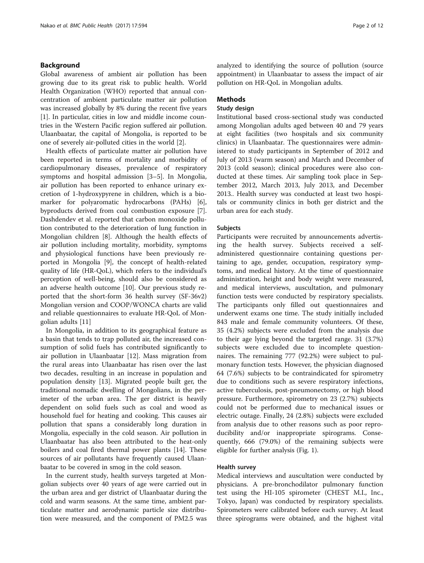## Background

Global awareness of ambient air pollution has been growing due to its great risk to public health. World Health Organization (WHO) reported that annual concentration of ambient particulate matter air pollution was increased globally by 8% during the recent five years [[1\]](#page-10-0). In particular, cities in low and middle income countries in the Western Pacific region suffered air pollution. Ulaanbaatar, the capital of Mongolia, is reported to be one of severely air-polluted cities in the world [\[2](#page-10-0)].

Health effects of particulate matter air pollution have been reported in terms of mortality and morbidity of cardiopulmonary diseases, prevalence of respiratory symptoms and hospital admission [[3](#page-10-0)–[5](#page-10-0)]. In Mongolia, air pollution has been reported to enhance urinary excretion of 1-hydroxypyrene in children, which is a biomarker for polyaromatic hydrocarbons (PAHs) [\[6](#page-10-0)], byproducts derived from coal combustion exposure [\[7](#page-10-0)]. Dashdendev et al. reported that carbon monoxide pollution contributed to the deterioration of lung function in Mongolian children [[8\]](#page-10-0). Although the health effects of air pollution including mortality, morbidity, symptoms and physiological functions have been previously reported in Mongolia [\[9](#page-10-0)], the concept of health-related quality of life (HR-QoL), which refers to the individual's perception of well-being, should also be considered as an adverse health outcome [[10\]](#page-10-0). Our previous study reported that the short-form 36 health survey (SF-36v2) Mongolian version and COOP/WONCA charts are valid and reliable questionnaires to evaluate HR-QoL of Mongolian adults [\[11\]](#page-10-0)

In Mongolia, in addition to its geographical feature as a basin that tends to trap polluted air, the increased consumption of solid fuels has contributed significantly to air pollution in Ulaanbaatar [[12\]](#page-10-0). Mass migration from the rural areas into Ulaanbaatar has risen over the last two decades, resulting in an increase in population and population density [\[13\]](#page-10-0). Migrated people built ger, the traditional nomadic dwelling of Mongolians, in the perimeter of the urban area. The ger district is heavily dependent on solid fuels such as coal and wood as household fuel for heating and cooking. This causes air pollution that spans a considerably long duration in Mongolia, especially in the cold season. Air pollution in Ulaanbaatar has also been attributed to the heat-only boilers and coal fired thermal power plants [\[14\]](#page-10-0). These sources of air pollutants have frequently caused Ulaanbaatar to be covered in smog in the cold season.

In the current study, health surveys targeted at Mongolian subjects over 40 years of age were carried out in the urban area and ger district of Ulaanbaatar during the cold and warm seasons. At the same time, ambient particulate matter and aerodynamic particle size distribution were measured, and the component of PM2.5 was analyzed to identifying the source of pollution (source appointment) in Ulaanbaatar to assess the impact of air pollution on HR-QoL in Mongolian adults.

## **Methods**

## Study design

Institutional based cross-sectional study was conducted among Mongolian adults aged between 40 and 79 years at eight facilities (two hospitals and six community clinics) in Ulaanbaatar. The questionnaires were administered to study participants in September of 2012 and July of 2013 (warm season) and March and December of 2013 (cold season); clinical procedures were also conducted at these times. Air sampling took place in September 2012, March 2013, July 2013, and December 2013.. Health survey was conducted at least two hospitals or community clinics in both ger district and the urban area for each study.

## Subjects

Participants were recruited by announcements advertising the health survey. Subjects received a selfadministered questionnaire containing questions pertaining to age, gender, occupation, respiratory symptoms, and medical history. At the time of questionnaire administration, height and body weight were measured, and medical interviews, auscultation, and pulmonary function tests were conducted by respiratory specialists. The participants only filled out questionnaires and underwent exams one time. The study initially included 843 male and female community volunteers. Of these, 35 (4.2%) subjects were excluded from the analysis due to their age lying beyond the targeted range. 31 (3.7%) subjects were excluded due to incomplete questionnaires. The remaining 777 (92.2%) were subject to pulmonary function tests. However, the physician diagnosed 64 (7.6%) subjects to be contraindicated for spirometry due to conditions such as severe respiratory infections, active tuberculosis, post-pneumonectomy, or high blood pressure. Furthermore, spirometry on 23 (2.7%) subjects could not be performed due to mechanical issues or electric outage. Finally, 24 (2.8%) subjects were excluded from analysis due to other reasons such as poor reproducibility and/or inappropriate spirograms. Consequently, 666 (79.0%) of the remaining subjects were eligible for further analysis (Fig. [1](#page-2-0)).

## Health survey

Medical interviews and auscultation were conducted by physicians. A pre-bronchodilator pulmonary function test using the HI-105 spirometer (CHEST M.I., Inc., Tokyo, Japan) was conducted by respiratory specialists. Spirometers were calibrated before each survey. At least three spirograms were obtained, and the highest vital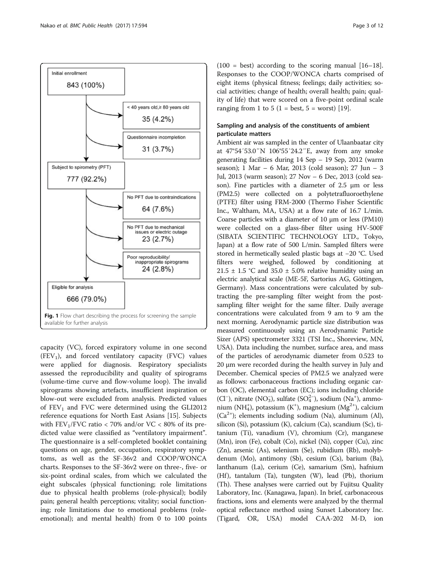<span id="page-2-0"></span>

capacity (VC), forced expiratory volume in one second  $(FEV<sub>1</sub>)$ , and forced ventilatory capacity  $(FVC)$  values were applied for diagnosis. Respiratory specialists assessed the reproducibility and quality of spirograms (volume-time curve and flow-volume loop). The invalid spirograms showing artefacts, insufficient inspiration or blow-out were excluded from analysis. Predicted values of  $FEV<sub>1</sub>$  and FVC were determined using the GLI2012 reference equations for North East Asians [\[15\]](#page-10-0). Subjects with  $FEV_1/FVC$  ratio < 70% and/or  $VC < 80%$  of its predicted value were classified as "ventilatory impairment". The questionnaire is a self-completed booklet containing questions on age, gender, occupation, respiratory symptoms, as well as the SF-36v2 and COOP/WONCA charts. Responses to the SF-36v2 were on three-, five- or six-point ordinal scales, from which we calculated the eight subscales (physical functioning; role limitations due to physical health problems (role-physical); bodily pain; general health perceptions; vitality; social functioning; role limitations due to emotional problems (roleemotional); and mental health) from 0 to 100 points

 $(100 - best)$  according to the scoring manual  $[16-18]$  $[16-18]$  $[16-18]$  $[16-18]$  $[16-18]$ . Responses to the COOP/WONCA charts comprised of eight items (physical fitness; feelings; daily activities; social activities; change of health; overall health; pain; quality of life) that were scored on a five-point ordinal scale ranging from 1 to 5 (1 = best, 5 = worst) [\[19\]](#page-11-0).

## Sampling and analysis of the constituents of ambient particulate matters

Ambient air was sampled in the center of Ulaanbaatar city at 47°54′53.0″N 106°55′24.2″E, away from any smoke generating facilities during 14 Sep – 19 Sep, 2012 (warm season); 1 Mar – 6 Mar, 2013 (cold season); 27 Jun – 3 Jul, 2013 (warm season); 27 Nov – 6 Dec, 2013 (cold season). Fine particles with a diameter of 2.5 μm or less (PM2.5) were collected on a polytetrafluoroethylene (PTFE) filter using FRM-2000 (Thermo Fisher Scientific Inc., Waltham, MA, USA) at a flow rate of 16.7 L/min. Coarse particles with a diameter of 10 μm or less (PM10) were collected on a glass-fiber filter using HV-500F (SIBATA SCIENTIFIC TECHNOLOGY LTD., Tokyo, Japan) at a flow rate of 500 L/min. Sampled filters were stored in hermetically sealed plastic bags at −20 °C. Used filters were weighed, followed by conditioning at 21.5  $\pm$  1.5 °C and 35.0  $\pm$  5.0% relative humidity using an electric analytical scale (ME-5F, Sartorius AG, Göttingen, Germany). Mass concentrations were calculated by subtracting the pre-sampling filter weight from the postsampling filter weight for the same filter. Daily average concentrations were calculated from 9 am to 9 am the next morning. Aerodynamic particle size distribution was measured continuously using an Aerodynamic Particle Sizer (APS) spectrometer 3321 (TSI Inc., Shoreview, MN, USA). Data including the number, surface area, and mass of the particles of aerodynamic diameter from 0.523 to 20 μm were recorded during the health survey in July and December. Chemical species of PM2.5 we analyzed were as follows: carbonaceous fractions including organic carbon (OC), elemental carbon (EC); ions including chloride (Cl<sup>-</sup>), nitrate (NO<sub>3</sub>), sulfate (SO<sup>2</sup><sub>4</sub><sup>-</sup>), sodium (Na<sup>+</sup>), ammonium (NH<sub>4</sub>), potassium (K<sup>+</sup>), magnesium (Mg<sup>2+</sup>), calcium  $(Ca^{2+})$ ; elements including sodium (Na), aluminum (Al), silicon (Si), potassium (K), calcium (Ca), scandium (Sc), titanium (Ti), vanadium (V), chromium (Cr), manganese (Mn), iron (Fe), cobalt (Co), nickel (Ni), copper (Cu), zinc (Zn), arsenic (As), selenium (Se), rubidium (Rb), molybdenum (Mo), antimony (Sb), cesium (Cs), barium (Ba), lanthanum (La), cerium (Ce), samarium (Sm), hafnium  $(Hf)$ , tantalum  $(Ta)$ , tungsten  $(W)$ , lead  $(Pb)$ , thorium (Th). These analyses were carried out by Fujitsu Quality Laboratory, Inc. (Kanagawa, Japan). In brief, carbonaceous fractions, ions and elements were analyzed by the thermal optical reflectance method using Sunset Laboratory Inc. (Tigard, OR, USA) model CAA-202 M-D, ion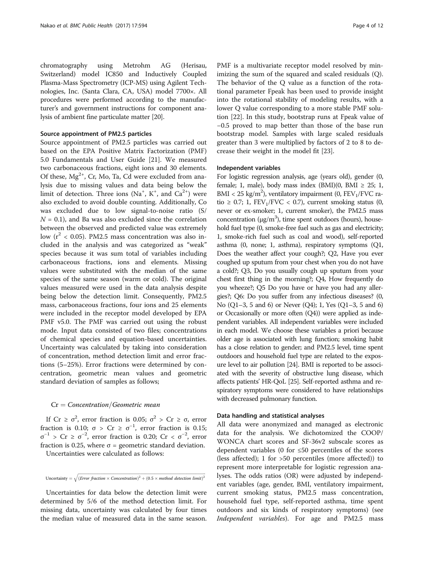chromatography using Metrohm AG (Herisau, Switzerland) model IC850 and Inductively Coupled Plasma-Mass Spectrometry (ICP-MS) using Agilent Technologies, Inc. (Santa Clara, CA, USA) model 7700×. All procedures were performed according to the manufacturer's and government instructions for component analysis of ambient fine particulate matter [\[20\]](#page-11-0).

## Source appointment of PM2.5 particles

Source appointment of PM2.5 particles was carried out based on the EPA Positive Matrix Factorization (PMF) 5.0 Fundamentals and User Guide [[21\]](#page-11-0). We measured two carbonaceous fractions, eight ions and 30 elements. Of these,  $Mg^{2+}$ , Cr, Mo, Ta, Cd were excluded from analysis due to missing values and data being below the limit of detection. Three ions  $(Na^+, K^+,$  and  $Ca^{2+})$  were also excluded to avoid double counting. Additionally, Co was excluded due to low signal-to-noise ratio (S/  $N = 0.1$ ), and Ba was also excluded since the correlation between the observed and predicted value was extremely low ( $r^2$  < 0.05). PM2.5 mass concentration was also included in the analysis and was categorized as "weak" species because it was sum total of variables including carbonaceous fractions, ions and elements. Missing values were substituted with the median of the same species of the same season (warm or cold). The original values measured were used in the data analysis despite being below the detection limit. Consequently, PM2.5 mass, carbonaceous fractions, four ions and 25 elements were included in the receptor model developed by EPA PMF v5.0. The PMF was carried out using the robust mode. Input data consisted of two files; concentrations of chemical species and equation-based uncertainties. Uncertainty was calculated by taking into consideration of concentration, method detection limit and error fractions (5–25%). Error fractions were determined by concentration, geometric mean values and geometric standard deviation of samples as follows;

## $Cr = Concentration/Geometric mean$

If Cr ≥  $\sigma^2$ , error fraction is 0.05;  $\sigma^2$  > Cr ≥ σ, error fraction is 0.10;  $\sigma > Cr \geq \sigma^{-1}$ , error fraction is 0.15;  $σ^{-1}$  > Cr ≥  $σ^{-2}$ , error fraction is 0.20; Cr <  $σ^{-2}$ , error fraction is 0.25, where  $\sigma$  = geometric standard deviation.

Uncertainties were calculated as follows:

Uncertainty  $= \sqrt{(Error fraction \times Concentration)^2 + (0.5 \times method detection limit)^2}$ 

ffiffiffiffiffiffiffiffiffiffiffiffiffiffiffiffiffiffiffiffiffiffiffiffiffiffiffiffiffiffiffiffiffiffiffiffiffiffiffiffiffiffiffiffiffiffiffiffiffiffiffiffiffiffiffiffiffiffiffiffiffiffiffiffiffiffiffiffiffiffiffiffiffiffiffiffiffiffiffiffiffiffiffiffiffiffiffiffiffiffiffiffiffiffiffiffiffiffiffiffiffiffiffiffiffiffiffiffiffiffiffiffiffiffiffiffiffiffiffiffiffiffiffiffiffiffiffiffiffiffiffiffiffiffiffiffiffi

Uncertainties for data below the detection limit were determined by 5/6 of the method detection limit. For missing data, uncertainty was calculated by four times the median value of measured data in the same season.

PMF is a multivariate receptor model resolved by minimizing the sum of the squared and scaled residuals (Q). The behavior of the Q value as a function of the rotational parameter Fpeak has been used to provide insight into the rotational stability of modeling results, with a lower Q value corresponding to a more stable PMF solution [[22](#page-11-0)]. In this study, bootstrap runs at Fpeak value of −0.5 proved to map better than those of the base run bootstrap model. Samples with large scaled residuals greater than 3 were multiplied by factors of 2 to 8 to decrease their weight in the model fit [[23](#page-11-0)].

## Independent variables

For logistic regression analysis, age (years old), gender (0, female; 1, male), body mass index  $(BMI)(0, BMI \geq 25; 1,$ BMI < 25 kg/m<sup>2</sup>), ventilatory impairment (0,  $\text{FEV}_1/\text{FVC}$  ratio  $\geq$  0.7; 1, FEV<sub>1</sub>/FVC < 0.7), current smoking status (0, never or ex-smoker; 1, current smoker), the PM2.5 mass concentration ( $\mu$ g/m<sup>3</sup>), time spent outdoors (hours), household fuel type (0, smoke-free fuel such as gas and electricity; 1, smoke-rich fuel such as coal and wood), self-reported asthma (0, none; 1, asthma), respiratory symptoms (Q1, Does the weather affect your cough?; Q2, Have you ever coughed up sputum from your chest when you do not have a cold?; Q3, Do you usually cough up sputum from your chest first thing in the morning?; Q4, How frequently do you wheeze?; Q5 Do you have or have you had any allergies?; Q6: Do you suffer from any infectious diseases? (0, No (Q1–3, 5 and 6) or Never (Q4); 1, Yes (Q1–3, 5 and 6) or Occasionally or more often (Q4)) were applied as independent variables. All independent variables were included in each model. We choose these variables a priori because older age is associated with lung function; smoking habit has a close relation to gender; and PM2.5 level, time spent outdoors and household fuel type are related to the exposure level to air pollution [\[24\]](#page-11-0). BMI is reported to be associated with the severity of obstructive lung disease, which affects patients' HR-QoL [[25](#page-11-0)]. Self-reported asthma and respiratory symptoms were considered to have relationships with decreased pulmonary function.

## Data handling and statistical analyses

All data were anonymized and managed as electronic data for the analysis. We dichotomized the COOP/ WONCA chart scores and SF-36v2 subscale scores as dependent variables (0 for  $\leq 50$  percentiles of the scores (less affected); 1 for >50 percentiles (more affected)) to represent more interpretable for logistic regression analyses. The odds ratios (OR) were adjusted by independent variables (age, gender, BMI, ventilatory impairment, current smoking status, PM2.5 mass concentration, household fuel type, self-reported asthma, time spent outdoors and six kinds of respiratory symptoms) (see Independent variables). For age and PM2.5 mass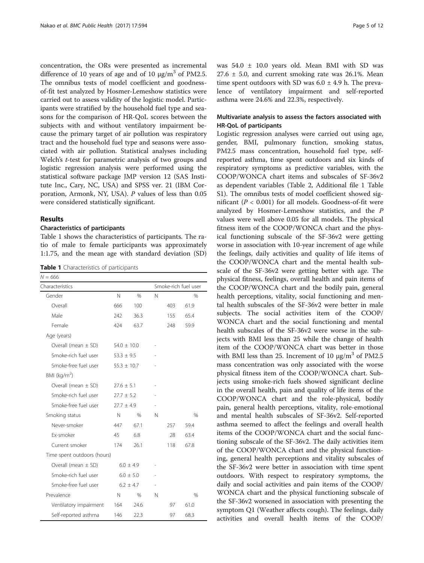concentration, the ORs were presented as incremental difference of 10 years of age and of 10  $\mu$ g/m<sup>3</sup> of PM2.5. The omnibus tests of model coefficient and goodnessof-fit test analyzed by Hosmer-Lemeshow statistics were carried out to assess validity of the logistic model. Participants were stratified by the household fuel type and seasons for the comparison of HR-QoL scores between the subjects with and without ventilatory impairment because the primary target of air pollution was respiratory tract and the household fuel type and seasons were associated with air pollution. Statistical analyses including Welch's *t*-test for parametric analysis of two groups and logistic regression analysis were performed using the statistical software package JMP version 12 (SAS Institute Inc., Cary, NC, USA) and SPSS ver. 21 (IBM Corporation, Armonk, NY, USA). P values of less than 0.05 were considered statistically significant.

#### Results

## Characteristics of participants

Table 1 shows the characteristics of participants. The ratio of male to female participants was approximately 1:1.75, and the mean age with standard deviation (SD)

Table 1 Characteristics of participants

| $N = 666$                   |                     |               |                      |     |               |  |  |
|-----------------------------|---------------------|---------------|----------------------|-----|---------------|--|--|
| Characteristics             |                     |               | Smoke-rich fuel user |     |               |  |  |
| Gender                      | $\mathsf{N}$        | $\%$          | N                    |     | $\%$          |  |  |
| Overall                     | 666                 | 100           |                      | 403 | 61.9          |  |  |
| Male                        | 242                 | 36.3          |                      | 155 | 65.4          |  |  |
| Female                      | 424                 | 63.7          |                      | 248 | 59.9          |  |  |
| Age (years)                 |                     |               |                      |     |               |  |  |
| Overall (mean $\pm$ SD)     | $54.0 \pm 10.0$     |               |                      |     |               |  |  |
| Smoke-rich fuel user        | $53.3 \pm 9.5$      |               |                      |     |               |  |  |
| Smoke-free fuel user        | $55.3 \pm 10.7$     |               |                      |     |               |  |  |
| BMI ( $kg/m2$ )             |                     |               |                      |     |               |  |  |
| Overall (mean $\pm$ SD)     | $27.6 \pm 5.1$      |               |                      |     |               |  |  |
| Smoke-rich fuel user        | $27.7 \pm 5.2$      |               |                      |     |               |  |  |
| Smoke-free fuel user        | $27.7 + 4.9$        |               |                      |     |               |  |  |
| Smoking status              | $\mathbb N$<br>$\%$ |               | N                    |     | $\frac{0}{0}$ |  |  |
| Never-smoker                | 447                 | 67.1          |                      | 257 | 59.4          |  |  |
| Fx-smoker                   | 45                  | 6.8           |                      | 28  | 63.4          |  |  |
| Current smoker              | 174                 | 26.1          |                      | 118 | 67.8          |  |  |
| Time spent outdoors (hours) |                     |               |                      |     |               |  |  |
| Overall (mean $\pm$ SD)     |                     | $6.0 \pm 4.9$ |                      |     |               |  |  |
| Smoke-rich fuel user        |                     | $6.0 \pm 5.0$ |                      |     |               |  |  |
| Smoke-free fuel user        |                     | $6.2 \pm 4.7$ |                      |     |               |  |  |
| Prevalence                  | $\mathbb N$         | $\%$          | N                    |     | $\frac{0}{0}$ |  |  |
| Ventilatory impairment      | 164                 | 24.6          |                      | 97  | 61.0          |  |  |
| Self-reported asthma        | 146                 | 22.3          |                      | 97  | 68.3          |  |  |

was 54.0 ± 10.0 years old. Mean BMI with SD was  $27.6 \pm 5.0$ , and current smoking rate was 26.1%. Mean time spent outdoors with SD was  $6.0 \pm 4.9$  h. The prevalence of ventilatory impairment and self-reported asthma were 24.6% and 22.3%, respectively.

## Multivariate analysis to assess the factors associated with HR-QoL of participants

Logistic regression analyses were carried out using age, gender, BMI, pulmonary function, smoking status, PM2.5 mass concentration, household fuel type, selfreported asthma, time spent outdoors and six kinds of respiratory symptoms as predictive variables, with the COOP/WONCA chart items and subscales of SF-36v2 as dependent variables (Table [2,](#page-5-0) Additional file [1](#page-10-0) Table S1). The omnibus tests of model coefficient showed significant ( $P < 0.001$ ) for all models. Goodness-of-fit were analyzed by Hosmer-Lemeshow statistics, and the P values were well above 0.05 for all models. The physical fitness item of the COOP/WONCA chart and the physical functioning subscale of the SF-36v2 were getting worse in association with 10-year increment of age while the feelings, daily activities and quality of life items of the COOP/WONCA chart and the mental health subscale of the SF-36v2 were getting better with age. The physical fitness, feelings, overall health and pain items of the COOP/WONCA chart and the bodily pain, general health perceptions, vitality, social functioning and mental health subscales of the SF-36v2 were better in male subjects. The social activities item of the COOP/ WONCA chart and the social functioning and mental health subscales of the SF-36v2 were worse in the subjects with BMI less than 25 while the change of health item of the COOP/WONCA chart was better in those with BMI less than 25. Increment of 10  $\mu$ g/m<sup>3</sup> of PM2.5 mass concentration was only associated with the worse physical fitness item of the COOP/WONCA chart. Subjects using smoke-rich fuels showed significant decline in the overall health, pain and quality of life items of the COOP/WONCA chart and the role-physical, bodily pain, general health perceptions, vitality, role-emotional and mental health subscales of SF-36v2. Self-reported asthma seemed to affect the feelings and overall health items of the COOP/WONCA chart and the social functioning subscale of the SF-36v2. The daily activities item of the COOP/WONCA chart and the physical functioning, general health perceptions and vitality subscales of the SF-36v2 were better in association with time spent outdoors. With respect to respiratory symptoms, the daily and social activities and pain items of the COOP/ WONCA chart and the physical functioning subscale of the SF-36v2 worsened in association with presenting the symptom Q1 (Weather affects cough). The feelings, daily activities and overall health items of the COOP/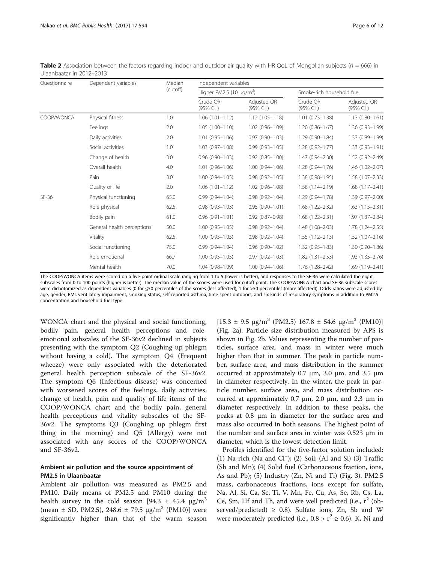<span id="page-5-0"></span>**Table 2** Association between the factors regarding indoor and outdoor air quality with HR-QoL of Mongolian subjects ( $n = 666$ ) in Ulaanbaatar in 2012–2013

| Ouestionnaire | Dependent variables        | Median<br>(cutoff) | Independent variables                     |                              |                           |                           |  |  |  |
|---------------|----------------------------|--------------------|-------------------------------------------|------------------------------|---------------------------|---------------------------|--|--|--|
|               |                            |                    | Higher PM2.5 (10 $\mu$ g/m <sup>3</sup> ) |                              | Smoke-rich household fuel |                           |  |  |  |
|               |                            |                    | Crude OR<br>(95% C.I.)                    | Adjusted OR<br>$(95\%$ C.I.) | Crude OR<br>$(95\%$ C.I.) | Adjusted OR<br>(95% C.I.) |  |  |  |
| COOP/WONCA    | Physical fitness           | 1.0                | $1.06(1.01 - 1.12)$                       | $1.12(1.05 - 1.18)$          | $1.01(0.73 - 1.38)$       | $1.13(0.80 - 1.61)$       |  |  |  |
|               | Feelings                   | 2.0                | $1.05(1.00 - 1.10)$                       | $1.02(0.96 - 1.09)$          | $1.20(0.86 - 1.67)$       | 1.36 (0.93-1.99)          |  |  |  |
|               | Daily activities           | 2.0                | $1.01(0.95 - 1.06)$                       | $0.97(0.90 - 1.03)$          | 1.29 (0.90-1.84)          | 1.33 (0.89-1.99)          |  |  |  |
|               | Social activities          | 1.0                | $1.03(0.97 - 1.08)$                       | $0.99(0.93 - 1.05)$          | $1.28(0.92 - 1.77)$       | 1.33 (0.93-1.91)          |  |  |  |
|               | Change of health           | 3.0                | $0.96(0.90 - 1.03)$                       | $0.92(0.85 - 1.00)$          | 1.47 (0.94-2.30)          | 1.52 (0.92-2.49)          |  |  |  |
|               | Overall health             | 4.0                | $1.01(0.96 - 1.06)$                       | $1.00(0.94 - 1.06)$          | 1.28 (0.94-1.76)          | 1.46 (1.02-2.07)          |  |  |  |
|               | Pain                       | 3.0                | $1.00(0.94 - 1.05)$                       | $0.98(0.92 - 1.05)$          | $1.38(0.98 - 1.95)$       | 1.58 (1.07-2.33)          |  |  |  |
|               | Quality of life            | 2.0                | $1.06(1.01 - 1.12)$                       | $1.02(0.96 - 1.08)$          | $1.58(1.14 - 2.19)$       | $1.68(1.17 - 2.41)$       |  |  |  |
| $SF-36$       | Physical functioning       | 65.0               | $0.99(0.94 - 1.04)$                       | $0.98(0.92 - 1.04)$          | 1.29 (0.94-1.78)          | 1.39 (0.97-2.00)          |  |  |  |
|               | Role physical              | 62.5               | $0.98(0.93 - 1.03)$                       | $0.95(0.90 - 1.01)$          | $1.68(1.22 - 2.32)$       | $1.63(1.15 - 2.31)$       |  |  |  |
|               | Bodily pain                | 61.0               | $0.96(0.91 - 1.01)$                       | $0.92(0.87 - 0.98)$          | $1.68(1.22 - 2.31)$       | 1.97 (1.37-2.84)          |  |  |  |
|               | General health perceptions | 50.0               | $1.00(0.95 - 1.05)$                       | $0.98(0.92 - 1.04)$          | 1.48 (1.08-2.03)          | 1.78 (1.24-2.55)          |  |  |  |
|               | Vitality                   | 62.5               | $1.00(0.95 - 1.05)$                       | $0.98(0.92 - 1.04)$          | $1.55(1.12 - 2.13)$       | $1.52(1.07 - 2.16)$       |  |  |  |
|               | Social functioning         | 75.0               | $0.99(0.94 - 1.04)$                       | $0.96(0.90 - 1.02)$          | $1.32(0.95 - 1.83)$       | 1.30 (0.90-1.86)          |  |  |  |
|               | Role emotional             | 66.7               | $1.00(0.95 - 1.05)$                       | $0.97(0.92 - 1.03)$          | $1.82(1.31 - 2.53)$       | 1.93 (1.35-2.76)          |  |  |  |
|               | Mental health              | 70.0               | 1.04 (0.98-1.09)                          | $1.00(0.94 - 1.06)$          | $1.76(1.28 - 2.42)$       | $1.69(1.19 - 2.41)$       |  |  |  |

The COOP/WONCA items were scored on a five-point ordinal scale ranging from 1 to 5 (lower is better), and responses to the SF-36 were calculated the eight subscales from 0 to 100 points (higher is better). The median value of the scores were used for cutoff point. The COOP/WONCA chart and SF-36 subscale scores were dichotomized as dependent variables (0 for ≤50 percentiles of the scores (less affected); 1 for >50 percentiles (more affected)). Odds ratios were adjusted by age, gender, BMI, ventilatory impairment, smoking status, self-reported asthma, time spent outdoors, and six kinds of respiratory symptoms in addition to PM2.5 concentration and household fuel type.

WONCA chart and the physical and social functioning, bodily pain, general health perceptions and roleemotional subscales of the SF-36v2 declined in subjects presenting with the symptom Q2 (Coughing up phlegm without having a cold). The symptom Q4 (Frequent wheeze) were only associated with the deteriorated general health perception subscale of the SF-36v2. The symptom Q6 (Infectious disease) was concerned with worsened scores of the feelings, daily activities, change of health, pain and quality of life items of the COOP/WONCA chart and the bodily pain, general health perceptions and vitality subscales of the SF-36v2. The symptoms Q3 (Coughing up phlegm first thing in the morning) and Q5 (Allergy) were not associated with any scores of the COOP/WONCA and SF-36v2.

## Ambient air pollution and the source appointment of PM2.5 in Ulaanbaatar

Ambient air pollution was measured as PM2.5 and PM10. Daily means of PM2.5 and PM10 during the health survey in the cold season [94.3  $\pm$  45.4  $\mu$ g/m<sup>3</sup> (mean  $\pm$  SD, PM2.5), 248.6  $\pm$  79.5  $\mu$ g/m<sup>3</sup> (PM10)] were significantly higher than that of the warm season  $[15.3 \pm 9.5 \text{ µg/m}^3 \text{ (PM2.5)} 167.8 \pm 54.6 \text{ µg/m}^3 \text{ (PM10)}]$ (Fig. [2a](#page-6-0)). Particle size distribution measured by APS is shown in Fig. [2b](#page-6-0). Values representing the number of particles, surface area, and mass in winter were much higher than that in summer. The peak in particle number, surface area, and mass distribution in the summer occurred at approximately 0.7 μm, 3.0 μm, and 3.5 μm in diameter respectively. In the winter, the peak in particle number, surface area, and mass distribution occurred at approximately 0.7 μm, 2.0 μm, and 2.3 μm in diameter respectively. In addition to these peaks, the peaks at 0.8 μm in diameter for the surface area and mass also occurred in both seasons. The highest point of the number and surface area in winter was 0.523 μm in diameter, which is the lowest detection limit.

Profiles identified for the five-factor solution included: (1) Na-rich (Na and Cl<sup>−</sup> ); (2) Soil; (Al and Si) (3) Traffic (Sb and Mn); (4) Solid fuel (Carbonaceous fraction, ions, As and Pb); (5) Industry (Zn, Ni and Ti) (Fig. [3](#page-7-0)). PM2.5 mass, carbonaceous fractions, ions except for sulfate, Na, Al, Si, Ca, Sc, Ti, V, Mn, Fe, Cu, As, Se, Rb, Cs, La, Ce, Sm, Hf and Th, and were well predicted (i.e.,  $r^2$  (observed/predicted)  $\geq$  0.8). Sulfate ions, Zn, Sb and W were moderately predicted (i.e.,  $0.8 > r^2 \ge 0.6$ ). K, Ni and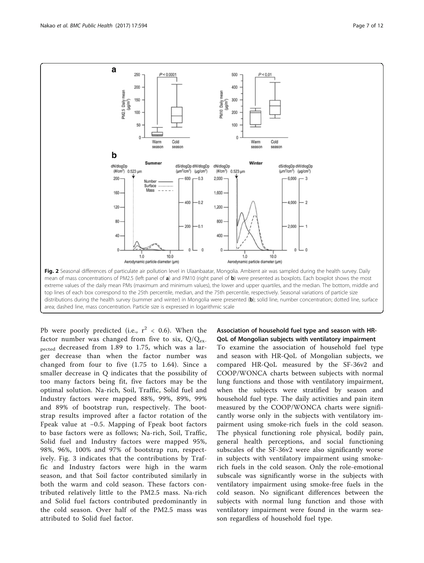<span id="page-6-0"></span>

Pb were poorly predicted (i.e.,  $r^2$  < 0.6). When the factor number was changed from five to six,  $Q/Q_{ex}$ . pected decreased from 1.89 to 1.75, which was a larger decrease than when the factor number was changed from four to five (1.75 to 1.64). Since a smaller decrease in Q indicates that the possibility of too many factors being fit, five factors may be the optimal solution. Na-rich, Soil, Traffic, Solid fuel and Industry factors were mapped 88%, 99%, 89%, 99% and 89% of bootstrap run, respectively. The bootstrap results improved after a factor rotation of the Fpeak value at −0.5. Mapping of Fpeak boot factors to base factors were as follows; Na-rich, Soil, Traffic, Solid fuel and Industry factors were mapped 95%, 98%, 96%, 100% and 97% of bootstrap run, respectively. Fig. [3](#page-7-0) indicates that the contributions by Traffic and Industry factors were high in the warm season, and that Soil factor contributed similarly in both the warm and cold season. These factors contributed relatively little to the PM2.5 mass. Na-rich and Solid fuel factors contributed predominantly in the cold season. Over half of the PM2.5 mass was attributed to Solid fuel factor.

## Association of household fuel type and season with HR-QoL of Mongolian subjects with ventilatory impairment

To examine the association of household fuel type and season with HR-QoL of Mongolian subjects, we compared HR-QoL measured by the SF-36v2 and COOP/WONCA charts between subjects with normal lung functions and those with ventilatory impairment, when the subjects were stratified by season and household fuel type. The daily activities and pain item measured by the COOP/WONCA charts were significantly worse only in the subjects with ventilatory impairment using smoke-rich fuels in the cold season. The physical functioning role physical, bodily pain, general health perceptions, and social functioning subscales of the SF-36v2 were also significantly worse in subjects with ventilatory impairment using smokerich fuels in the cold season. Only the role-emotional subscale was significantly worse in the subjects with ventilatory impairment using smoke-free fuels in the cold season. No significant differences between the subjects with normal lung function and those with ventilatory impairment were found in the warm season regardless of household fuel type.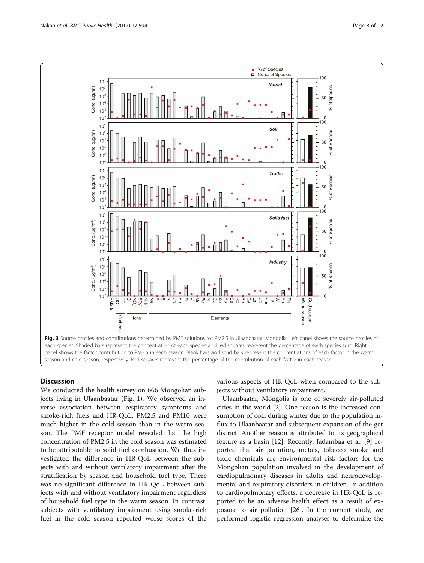<span id="page-7-0"></span>

## **Discussion**

We conducted the health survey on 666 Mongolian subjects living in Ulaanbaatar (Fig. [1](#page-2-0)). We observed an inverse association between respiratory symptoms and smoke-rich fuels and HR-QoL. PM2.5 and PM10 were much higher in the cold season than in the warm season. The PMF receptor model revealed that the high concentration of PM2.5 in the cold season was estimated to be attributable to solid fuel combustion. We thus investigated the difference in HR-QoL between the subjects with and without ventilatory impairment after the stratification by season and household fuel type. There was no significant difference in HR-QoL between subjects with and without ventilatory impairment regardless of household fuel type in the warm season. In contrast, subjects with ventilatory impairment using smoke-rich fuel in the cold season reported worse scores of the various aspects of HR-QoL when compared to the subjects without ventilatory impairment.

Ulaanbaatar, Mongolia is one of severely air-polluted cities in the world [[2\]](#page-10-0). One reason is the increased consumption of coal during winter due to the population influx to Ulaanbaatar and subsequent expansion of the ger district. Another reason is attributed to its geographical feature as a basin [\[12](#page-10-0)]. Recently, Jadambaa et al. [\[9](#page-10-0)] reported that air pollution, metals, tobacco smoke and toxic chemicals are environmental risk factors for the Mongolian population involved in the development of cardiopulmonary diseases in adults and neurodevelopmental and respiratory disorders in children. In addition to cardiopulmonary effects, a decrease in HR-QoL is reported to be an adverse health effect as a result of exposure to air pollution [\[26](#page-11-0)]. In the current study, we performed logistic regression analyses to determine the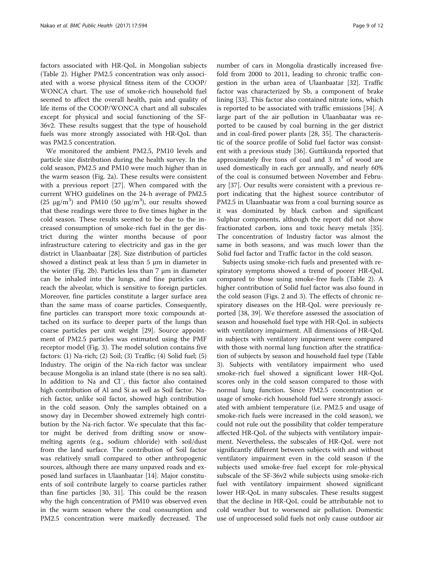factors associated with HR-QoL in Mongolian subjects (Table [2\)](#page-5-0). Higher PM2.5 concentration was only associated with a worse physical fitness item of the COOP/ WONCA chart. The use of smoke-rich household fuel seemed to affect the overall health, pain and quality of life items of the COOP/WONCA chart and all subscales except for physical and social functioning of the SF-36v2. These results suggest that the type of household fuels was more strongly associated with HR-QoL than was PM2.5 concentration.

We monitored the ambient PM2.5, PM10 levels and particle size distribution during the health survey. In the cold season, PM2.5 and PM10 were much higher than in the warm season (Fig. [2a](#page-6-0)). These results were consistent with a previous report [[27](#page-11-0)]. When compared with the current WHO guidelines on the 24-h average of PM2.5 (25  $\mu$ g/m<sup>3</sup>) and PM10 (50  $\mu$ g/m<sup>3</sup>), our results showed that these readings were three to five times higher in the cold season. These results seemed to be due to the increased consumption of smoke-rich fuel in the ger district during the winter months because of poor infrastructure catering to electricity and gas in the ger district in Ulaanbaatar [[28\]](#page-11-0). Size distribution of particles showed a distinct peak at less than 5 μm in diameter in the winter (Fig. [2b](#page-6-0)). Particles less than 7 μm in diameter can be inhaled into the lungs, and fine particles can reach the alveolar, which is sensitive to foreign particles. Moreover, fine particles constitute a larger surface area than the same mass of coarse particles. Consequently, fine particles can transport more toxic compounds attached on its surface to deeper parts of the lungs than coarse particles per unit weight [[29](#page-11-0)]. Source appointment of PM2.5 particles was estimated using the PMF receptor model (Fig. [3\)](#page-7-0). The model solution contains five factors: (1) Na-rich; (2) Soil; (3) Traffic; (4) Solid fuel; (5) Industry. The origin of the Na-rich factor was unclear because Mongolia is an inland state (there is no sea salt). In addition to Na and Cl<sup>−</sup> , this factor also contained high contribution of Al and Si as well as Soil factor. Narich factor, unlike soil factor, showed high contribution in the cold season. Only the samples obtained on a snowy day in December showed extremely high contribution by the Na-rich factor. We speculate that this factor might be derived from drifting snow or snowmelting agents (e.g., sodium chloride) with soil/dust from the land surface. The contribution of Soil factor was relatively small compared to other anthropogenic sources, although there are many unpaved roads and exposed land surfaces in Ulaanbaatar [\[14](#page-10-0)]. Major constituents of soil contribute largely to coarse particles rather than fine particles [[30, 31\]](#page-11-0). This could be the reason why the high concentration of PM10 was observed even in the warm season where the coal consumption and PM2.5 concentration were markedly decreased. The

number of cars in Mongolia drastically increased fivefold from 2000 to 2011, leading to chronic traffic congestion in the urban area of Ulaanbaatar [\[32\]](#page-11-0). Traffic factor was characterized by Sb, a component of brake lining [\[33\]](#page-11-0). This factor also contained nitrate ions, which is reported to be associated with traffic emissions [\[34](#page-11-0)]. A large part of the air pollution in Ulaanbaatar was reported to be caused by coal burning in the ger district and in coal-fired power plants [[28, 35](#page-11-0)]. The characteristic of the source profile of Solid fuel factor was consistent with a previous study [[36\]](#page-11-0). Guttikunda reported that approximately five tons of coal and  $3 \text{ m}^3$  of wood are used domestically in each ger annually, and nearly 60% of the coal is consumed between November and February [[37\]](#page-11-0). Our results were consistent with a previous report indicating that the highest source contributor of PM2.5 in Ulaanbaatar was from a coal burning source as it was dominated by black carbon and significant Sulphur components, although the report did not show fractionated carbon, ions and toxic heavy metals [\[35](#page-11-0)]. The concentration of Industry factor was almost the same in both seasons, and was much lower than the Solid fuel factor and Traffic factor in the cold season.

Subjects using smoke-rich fuels and presented with respiratory symptoms showed a trend of poorer HR-QoL compared to those using smoke-free fuels (Table [2\)](#page-5-0). A higher contribution of Solid fuel factor was also found in the cold season (Figs. [2](#page-6-0) and [3\)](#page-7-0). The effects of chronic respiratory diseases on the HR-QoL were previously reported [[38, 39\]](#page-11-0). We therefore assessed the association of season and household fuel type with HR-QoL in subjects with ventilatory impairment. All dimensions of HR-QoL in subjects with ventilatory impairment were compared with those with normal lung function after the stratification of subjects by season and household fuel type (Table [3\)](#page-9-0). Subjects with ventilatory impairment who used smoke-rich fuel showed a significant lower HR-QoL scores only in the cold season compared to those with normal lung function. Since PM2.5 concentration or usage of smoke-rich household fuel were strongly associated with ambient temperature (i.e. PM2.5 and usage of smoke-rich fuels were increased in the cold season), we could not rule out the possibility that colder temperature affected HR-QoL of the subjects with ventilatory impairment. Nevertheless, the subscales of HR-QoL were not significantly different between subjects with and without ventilatory impairment even in the cold season if the subjects used smoke-free fuel except for role-physical subscale of the SF-36v2 while subjects using smoke-rich fuel with ventilatory impairment showed significant lower HR-QoL in many subscales. These results suggest that the decline in HR-QoL could be attributable not to cold weather but to worsened air pollution. Domestic use of unprocessed solid fuels not only cause outdoor air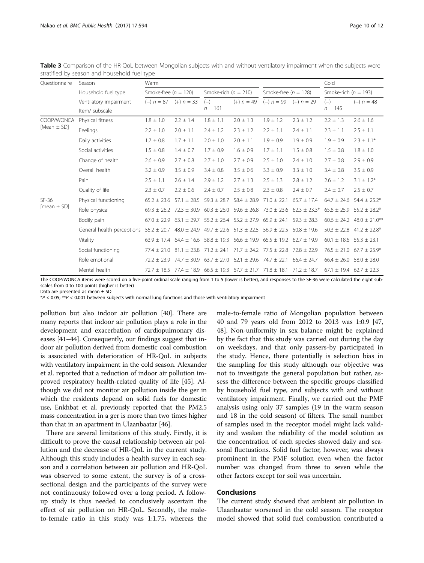| Questionnaire                 | Season                     | Warm                      |                                                 |                                                                                                 |                                                 |                           |                  | Cold                            |                                   |
|-------------------------------|----------------------------|---------------------------|-------------------------------------------------|-------------------------------------------------------------------------------------------------|-------------------------------------------------|---------------------------|------------------|---------------------------------|-----------------------------------|
|                               | Household fuel type        | Smoke-free $(n = 120)$    |                                                 | Smoke-rich $(n = 210)$                                                                          |                                                 | Smoke-free $(n = 128)$    |                  | Smoke-rich ( $n = 193$ )        |                                   |
|                               | Ventilatory impairment     | $(-) n = 87$ $(+) n = 33$ |                                                 | $(-)$                                                                                           | $(+) n = 49$                                    | $(-) n = 99$ $(+) n = 29$ |                  | $(-)$                           | $(+) n = 48$                      |
|                               | Item/ subscale             |                           |                                                 | $n = 161$                                                                                       |                                                 |                           |                  | $n = 145$                       |                                   |
| COOP/WONCA<br>[Mean $\pm$ SD] | Physical fitness           | $1.8 \pm 1.0$             | $2.2 \pm 1.4$                                   | $1.8 \pm 1.1$                                                                                   | $2.0 \pm 1.3$                                   | $1.9 \pm 1.2$             | $2.3 \pm 1.2$    | $2.2 \pm 1.3$                   | $2.6 \pm 1.6$                     |
|                               | Feelings                   | $2.2 \pm 1.0$             | $2.0 \pm 1.1$                                   | $2.4 \pm 1.2$                                                                                   | $2.3 \pm 1.2$                                   | $2.2 \pm 1.1$             | $2.4 \pm 1.1$    | $2.3 \pm 1.1$                   | $2.5 \pm 1.1$                     |
|                               | Daily activities           | $1.7 \pm 0.8$             | $1.7 \pm 1.1$                                   | $2.0 \pm 1.0$                                                                                   | $2.0 \pm 1.1$                                   | $1.9 \pm 0.9$             | $1.9 \pm 0.9$    | $1.9 \pm 0.9$                   | $2.3 \pm 1.1*$                    |
|                               | Social activities          | $1.5 \pm 0.8$             | $1.4 \pm 0.7$                                   | $1.7 \pm 0.9$                                                                                   | $1.6 \pm 0.9$                                   | $1.7 \pm 1.1$             | $1.5 \pm 0.8$    | $1.5 \pm 0.8$                   | $1.8 \pm 1.0$                     |
|                               | Change of health           | $2.6 \pm 0.9$             | $2.7 \pm 0.8$                                   | $2.7 \pm 1.0$                                                                                   | $2.7 \pm 0.9$                                   | $2.5 \pm 1.0$             | $2.4 \pm 1.0$    | $2.7 \pm 0.8$                   | $2.9 \pm 0.9$                     |
|                               | Overall health             | $3.2 \pm 0.9$             | $3.5 \pm 0.9$                                   | $3.4 \pm 0.8$                                                                                   | $3.5 \pm 0.6$                                   | $3.3 \pm 0.9$             | $3.3 \pm 1.0$    | $3.4 \pm 0.8$                   | $3.5 \pm 0.9$                     |
|                               | Pain                       | $2.5 \pm 1.1$             | $2.6 \pm 1.4$                                   | $2.9 \pm 1.2$                                                                                   | $2.7 \pm 1.3$                                   | $2.5 \pm 1.3$             | $2.8 \pm 1.2$    | $2.6 \pm 1.2$                   | $3.1 \pm 1.2^*$                   |
|                               | Quality of life            | $2.3 \pm 0.7$             | $2.2 \pm 0.6$                                   | $2.4 \pm 0.7$                                                                                   | $2.5 \pm 0.8$                                   | $2.3 \pm 0.8$             | $2.4 \pm 0.7$    | $2.4 \pm 0.7$                   | $2.5 \pm 0.7$                     |
| $SF-36$<br>$[mean \pm SD]$    | Physical functioning       |                           | $65.2 \pm 23.6$ 57.1 $\pm$ 28.5                 | $59.3 \pm 28.7$                                                                                 | $58.4 \pm 28.9$                                 | $71.0 \pm 22.1$           | $65.7 \pm 17.4$  | $64.7 \pm 24.6$                 | $54.4 \pm 25.2*$                  |
|                               | Role physical              |                           | $69.3 \pm 26.2$ 72.3 $\pm$ 30.9                 |                                                                                                 | $60.3 \pm 26.0$ 59.6 $\pm$ 26.8                 | $73.0 \pm 23.6$           | $62.3 \pm 23.3*$ | $65.8 \pm 25.9$                 | $55.2 \pm 28.2*$                  |
|                               | Bodily pain                | $67.0 \pm 22.9$           | $63.1 \pm 29.7$                                 |                                                                                                 | $55.2 \pm 26.4$ 55.2 $\pm$ 27.9 65.9 $\pm$ 24.1 |                           | $59.3 \pm 28.3$  |                                 | $60.6 \pm 24.2$ 48.0 $\pm$ 21.0** |
|                               | General health perceptions |                           |                                                 | $55.2 \pm 20.7$ 48.0 $\pm$ 24.9 49.7 $\pm$ 22.6 51.3 $\pm$ 22.5 56.9 $\pm$ 22.5                 |                                                 |                           | $50.8 \pm 19.6$  |                                 | $50.3 \pm 22.8$ 41.2 $\pm$ 22.8*  |
|                               | Vitality                   |                           |                                                 | $63.9 \pm 17.4$ $64.4 \pm 16.6$ $58.8 \pm 19.3$ $56.6 \pm 19.9$ $65.5 \pm 19.2$ $62.7 \pm 19.9$ |                                                 |                           |                  | $60.1 \pm 18.6$ 55.3 $\pm$ 23.1 |                                   |
|                               | Social functioning         |                           | $77.4 \pm 21.0$ 81.1 $\pm$ 23.8 71.2 $\pm$ 24.1 |                                                                                                 | $71.7 \pm 24.2$ $77.5 \pm 22.8$ $72.8 \pm 22.9$ |                           |                  |                                 | $76.5 \pm 21.0$ 67.7 $\pm 25.9$ * |
|                               | Role emotional             | $72.2 \pm 23.9$           |                                                 | $74.7 \pm 30.9$ 63.7 $\pm$ 27.0 62.1 $\pm$ 29.6 74.7 $\pm$ 22.1                                 |                                                 |                           | $66.4 \pm 24.7$  |                                 | $66.4 \pm 26.0$ 58.0 $\pm$ 28.0   |
|                               | Mental health              |                           |                                                 | $72.7 \pm 18.5$ $77.4 \pm 18.9$ 66.5 $\pm$ 19.3 67.7 $\pm$ 21.7 71.8 $\pm$ 18.1 71.2 $\pm$ 18.7 |                                                 |                           |                  | $67.1 \pm 19.4$ $62.7 \pm 22.3$ |                                   |

<span id="page-9-0"></span>Table 3 Comparison of the HR-QoL between Mongolian subjects with and without ventilatory impairment when the subjects were stratified by season and household fuel type

The COOP/WONCA items were scored on a five-point ordinal scale ranging from 1 to 5 (lower is better), and responses to the SF-36 were calculated the eight subscales from 0 to 100 points (higher is better)

Data are presented as mean ± SD

\*P < 0.05; \*\*P < 0.001 between subjects with normal lung functions and those with ventilatory impairment

pollution but also indoor air pollution [\[40\]](#page-11-0). There are many reports that indoor air pollution plays a role in the development and exacerbation of cardiopulmonary diseases [\[41](#page-11-0)–[44](#page-11-0)]. Consequently, our findings suggest that indoor air pollution derived from domestic coal combustion is associated with deterioration of HR-QoL in subjects with ventilatory impairment in the cold season. Alexander et al. reported that a reduction of indoor air pollution improved respiratory health-related quality of life [[45](#page-11-0)]. Although we did not monitor air pollution inside the ger in which the residents depend on solid fuels for domestic use, Enkhbat et al. previously reported that the PM2.5 mass concentration in a ger is more than two times higher than that in an apartment in Ulaanbaatar [\[46](#page-11-0)].

There are several limitations of this study. Firstly, it is difficult to prove the causal relationship between air pollution and the decrease of HR-QoL in the current study. Although this study includes a health survey in each season and a correlation between air pollution and HR-QoL was observed to some extent, the survey is of a crosssectional design and the participants of the survey were not continuously followed over a long period. A followup study is thus needed to conclusively ascertain the effect of air pollution on HR-QoL. Secondly, the maleto-female ratio in this study was 1:1.75, whereas the male-to-female ratio of Mongolian population between 40 and 79 years old from 2012 to 2013 was 1:0.9 [[47](#page-11-0), [48\]](#page-11-0). Non-uniformity in sex balance might be explained by the fact that this study was carried out during the day on weekdays, and that only passers-by participated in the study. Hence, there potentially is selection bias in the sampling for this study although our objective was not to investigate the general population but rather, assess the difference between the specific groups classified by household fuel type, and subjects with and without ventilatory impairment. Finally, we carried out the PMF analysis using only 37 samples (19 in the warm season and 18 in the cold season) of filters. The small number of samples used in the receptor model might lack validity and weaken the reliability of the model solution as the concentration of each species showed daily and seasonal fluctuations. Solid fuel factor, however, was always prominent in the PMF solution even when the factor number was changed from three to seven while the other factors except for soil was uncertain.

## Conclusions

The current study showed that ambient air pollution in Ulaanbaatar worsened in the cold season. The receptor model showed that solid fuel combustion contributed a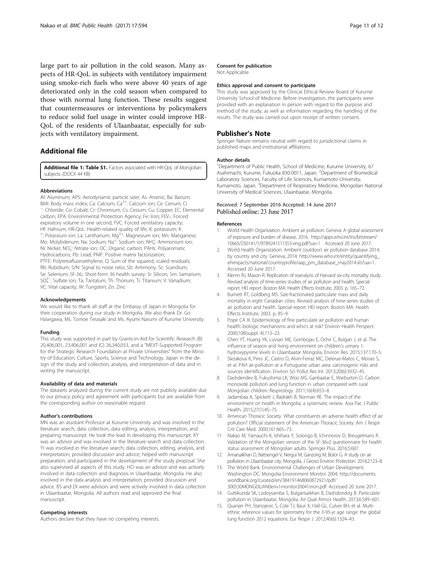<span id="page-10-0"></span>large part to air pollution in the cold season. Many aspects of HR-QoL in subjects with ventilatory impairment using smoke-rich fuels who were above 40 years of age deteriorated only in the cold season when compared to those with normal lung function. These results suggest that countermeasures or interventions by policymakers to reduce solid fuel usage in winter could improve HR-QoL of the residents of Ulaanbaatar, especially for subjects with ventilatory impairment.

## Additional file

[Additional file 1: Table S1.](dx.doi.org/10.1186/s12889-017-4507-1) Factors associated with HR-OoL of Mongolian subjects. (DOCX 44 KB)

#### Abbreviations

Al: Aluminum; APS: Aerodynamic particle sizer; As: Arsenic; Ba: Barium; BMI: Body mass index; Ca: Calcium; Ca<sup>2+</sup>: Calcium ion; Ce: Cerium; Cl : Chloride; Co: Cobalt; Cr: Chromium; Cs: Cesium; Cu: Copper; EC: Elemental carbon; EPA: Environmental Protection Agency; Fe: Iron; FEV<sub>1</sub>: Forced expiratory volume in one second; FVC: Forced ventilatory capacity; Hf: Hafnium; HR-QoL: Health-related quality of life; K: potassium; K <sup>+</sup>: Potassium ion; La: Lanthanum; Mg<sup>2+</sup>: Magnesium ion; Mn: Manganese; Mo: Molybdenum; Na: Sodium; Na<sup>+</sup>: Sodium ion; NH<sub>4</sub>: Ammonium ion; Ni: Nickel; NO<sub>3</sub>: Nitrate ion; OC: Organic carbon; PAHs: Polyaromatic Hydrocarbons; Pb: Lead; PMF: Positive matrix factorization; PTFE: Polytetrafluoroethylene; Q: Sum of the squared, scaled residuals; Rb: Rubidium; S/N: Signal to noise ratio; Sb: Antimony; Sc: Scandium; Se: Selenium; SF-36,: Short-form 36 health survey; Si: Silicon; Sm: Samarium; SO4 2− : Sulfate ion; Ta: Tantalum; Th: Thorium; Ti: Titanium; V: Vanadium; VC: Vital capacity; W: Tungsten; Zn: Zinc

#### Acknowledgements

We would like to thank all staff at the Embassy of Japan in Mongolia for their cooperation during our study in Mongolia. We also thank Dr. Go Hasegawa, Ms. Tomoe Terasaki and Ms. Ayumi Narumi of Kurume University.

#### Funding

This study was supported in part by Grants-in-Aid for Scientific Research (B) 20,406,001, 23,406,001 and (C) 26,340,053, and a "MEXT-Supported Program for the Strategic Research Foundation at Private Universities" from the Ministry of Education, Culture, Sports, Science and Technology, Japan in the design of the study and collection, analysis, and interpretation of data and in writing the manuscript.

#### Availability of data and materials

The datasets analyzed during the current study are not publicly available due to our privacy policy and agreement with participants but are available from the corresponding author on reasonable request.

#### Author's contributions

MN was an assistant Professor at Kurume University and was involved in the literature search, data collection, data editing, analysis, interpretation, and preparing manuscript. He took the lead in developing this manuscript. KY was an advisor and was involved in the literature search and data collection. YI was involved in the literature search; data collection, editing, analysis, and interpretation; provided discussion and advice; helped with manuscript preparation; and participated in the development of the study proposal. She also supervised all aspects of this study. HO was an advisor and was actively involved in data collection and diagnosis in Ulaanbaatar, Mongolia. He also involved in the data analysis and interpretation; provided discussion and advice. BS and DI were advisors and were actively involved in data collection in Ulaanbaatar, Mongolia. All authors read and approved the final manuscript.

## Competing interests

Authors declare that they have no competing interests.

#### Consent for publication

Not Applicable

#### Ethics approval and consent to participate

This study was approved by the Clinical Ethical Review Board of Kurume University School of Medicine. Before investigation, the participants were provided with an explanation in person with regard to the purpose and method of the study, as well as information regarding the handling of the results. The study was carried out upon receipt of written consent.

## Publisher's Note

Springer Nature remains neutral with regard to jurisdictional claims in published maps and institutional affiliations.

#### Author details

<sup>1</sup>Department of Public Health, School of Medicine, Kurume University, 67 Asahimachi, Kurume, Fukuoka 830-0011, Japan. <sup>2</sup>Department of Biomedical Laboratory Sciences, Faculty of Life Sciences, Kumamoto University, Kumamoto, Japan. <sup>3</sup>Department of Respiratory Medicine, Mongolian National University of Medical Sciences, Ulaanbaatar, Mongolia.

## Received: 7 September 2016 Accepted: 14 June 2017 Published online: 23 June 2017

#### References

- 1. World Health Organization. Ambient air pollution. Geneva: A global assessment of exposure and burden of disease. 2016. [http://apps.who.int/iris/bitstream/](http://apps.who.int/iris/bitstream/10665/250141/1/9789241511353-eng.pdf?ua=1) [10665/250141/1/9789241511353-eng.pdf?ua=1 .](http://apps.who.int/iris/bitstream/10665/250141/1/9789241511353-eng.pdf?ua=1) Accessed 20 June 2017.
- 2. World Health Organization. Ambient (outdoor) air pollution database 2014, by country and city. Geneva; 2014. [http://www.who.int/entity/quantifying\\_](http://www.who.int/entity/quantifying_ehimpacts/national/countryprofile/aap_pm_database_may2014.xls?ua=1) [ehimpacts/national/countryprofile/aap\\_pm\\_database\\_may2014.xls?ua=1](http://www.who.int/entity/quantifying_ehimpacts/national/countryprofile/aap_pm_database_may2014.xls?ua=1). Accessed 20 June 2017.
- 3. Klemn RJ, Mason R. Replication of reanalysis of Harvard six-city mortality study. Revised analysis of time-series studies of air pollution and health. Special report. HEI report. Boston MA: Health Effects Institute; 2003. p. 165–72.
- 4. Burnett RT, Goldberg MS. Size-fractionated particulate mass and daily mortality in eight Canadian cities. Revised analysis of time-series studies of air pollution and health. Special report. HEI report. Boston MA: Health Effects Institute; 2003. p. 85–9.
- 5. Pope CA III. Epidemiology of fine particulate air pollution and human health: biologic mechanisms and who's at risk? Environ Health Perspect. 2000;108(suppl. 4):713–23.
- 6. Chen YT, Huang YK, Luvsan ME, Gombojav E, Ochir C, Bulgan J, et al. The influence of season and living environment on children's urinary 1 hydroxypyrene levels in Ulaanbaatar Mongolia. Environ Res. 2015;137:170–5.
- 7. Slezakova K, Pires JC, Castro D, Alvin-Ferraz MC, Delerue-Matos C, Morais S, et al. PAH air pollution at a Portuguese urban area: carcinogenic risks and sources identification. Environ Sci Pollut Res Int. 2013;20(6):3932–45.
- 8. Dashdendev B, Fukushima LK, Woo MS, Ganbaatar E, Warburton D. Carbon monoxide pollution and lung function in urban compared with rural Mongolian children. Respirology. 2011;16(4):653–8.
- 9. Jadambaa A, Spickett J, Badrakh B, Norman RE. The impact of the environment on health in Mongolia: a systematic review. Asia Pac J Public Health. 2015;27(1):45–75.
- 10. American Thoracic Society. What constituents an adverse health effect of air pollution? Official statement of the American Thoracic Society. Am J Respir Crit Care Med. 2000;161:665–73.
- 11. Nakao M, Yamauchi K, Ishihara Y, Solongo B, Ichinnorov D, Breugelmans R. Validation of the Mongolian version of the SF-36v2 questionnaire for health status assessment of Mongolian adults. Springer Plus. 2016;5:607.
- 12. Amarsaikhan D, Battsengel V, Nergui M, Ganzorig M, Bolor G. A study on air pollution in Ulaanbaatar city, Mongolia. J Geosci Environ Protection. 2014;2:123–8.
- 13. The World Bank. Environmental Challenges of Urban Development. Washington DC: Mongolia Environment Monitor 2004; [http://documents.](http://documents.worldbank.org/curated/en/384191468060872921/pdf/300530MONGOLIAN0env1monitor20041mon.pdf) [worldbank.org/curated/en/384191468060872921/pdf/](http://documents.worldbank.org/curated/en/384191468060872921/pdf/300530MONGOLIAN0env1monitor20041mon.pdf) [300530MONGOLIAN0env1monitor20041mon.pdf.](http://documents.worldbank.org/curated/en/384191468060872921/pdf/300530MONGOLIAN0env1monitor20041mon.pdf) Accessed 20 June 2017.
- 14. Guttikunda SK, Lodoysamba S, Bulgansaikhan B, Dashdondog B. Particulate pollution in Ulaanbaatar, Mongolia. Air Qual Atmos Health. 2013;6:589–601.
- 15. Quanjer PH, Stanojevic S, Cole TJ, Baur X, Hall GL, Culver BH, et al. Multiethnic reference values for spirometry for the 3-95-yr age range: the global lung function 2012 equations. Eur Respir J. 2012;40(6):1324–43.